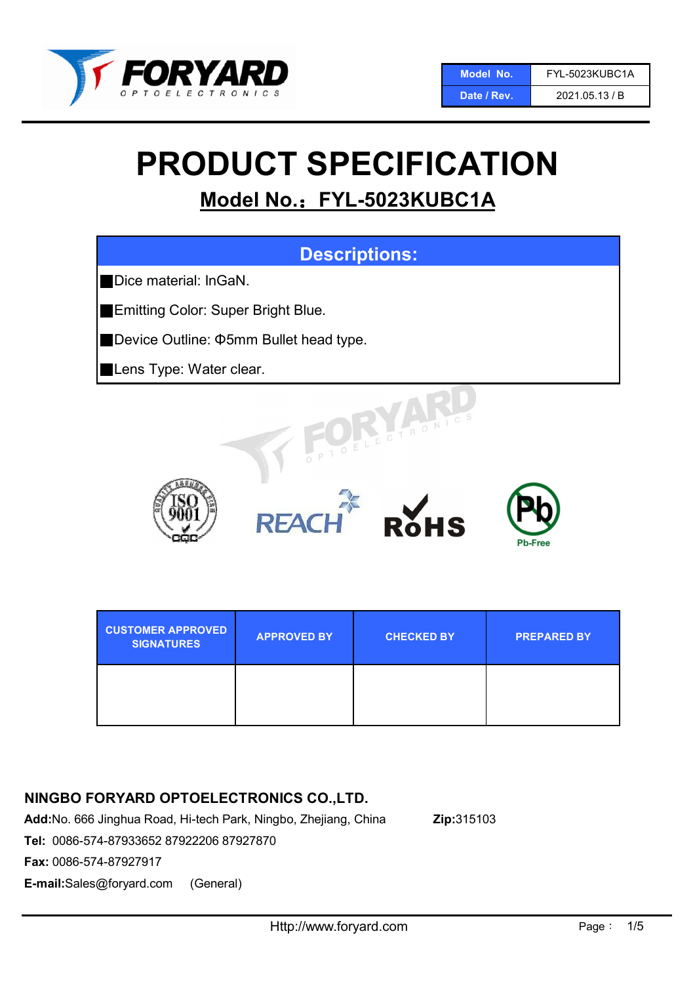

Date / Rev. 2021.05.13 / B

# PRODUCT SPECIFICATION

## Model No.: FYL-5023KUBC1A



| <b>CUSTOMER APPROVED</b><br><b>SIGNATURES</b> | <b>APPROVED BY</b> | <b>CHECKED BY</b> | <b>PREPARED BY.</b> |
|-----------------------------------------------|--------------------|-------------------|---------------------|
|                                               |                    |                   |                     |

## NINGBO FORYARD OPTOELECTRONICS CO.,LTD.

Add:No. 666 Jinghua Road, Hi-tech Park, Ningbo, Zhejiang, China Zip:315103

Tel: 0086-574-87933652 87922206 87927870

Fax: 0086-574-87927917

E-mail:Sales@foryard.com (General)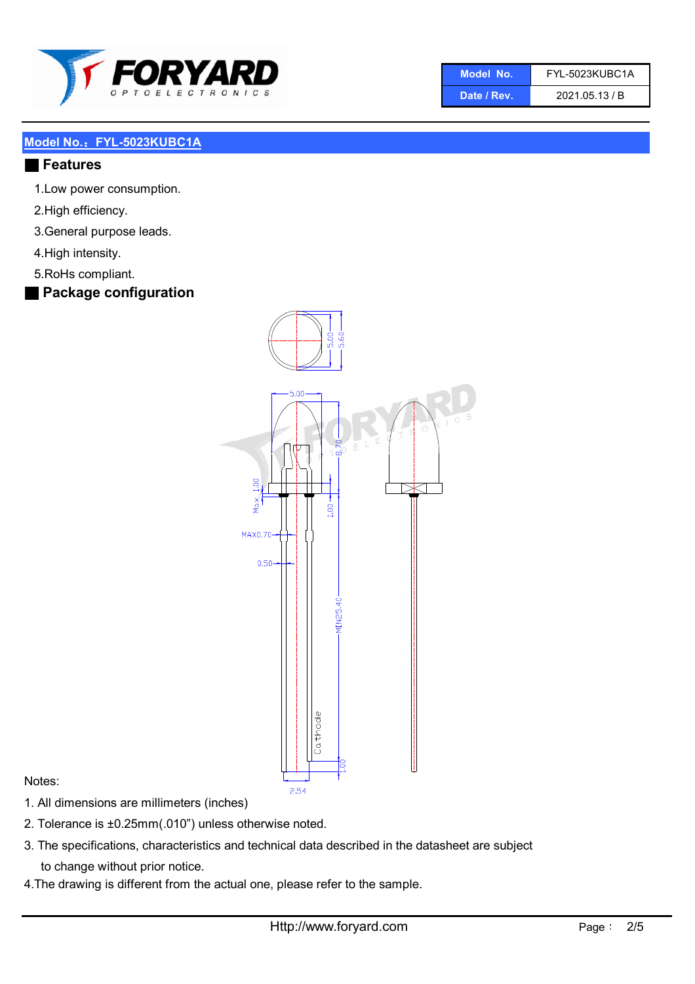

| Model No. | FYL-5023KUBC1A |
|-----------|----------------|
|           |                |

Date / Rev. 2021.05.13 / B

#### Model No.: FYL-5023KUBC1A

#### ■ Features

- 1.Low power consumption.
- 2.High efficiency.
- 3.General purpose leads.
- 4.High intensity.
- 5.RoHs compliant.

## ■ Package configuration



#### Notes:

- 1. All dimensions are millimeters (inches)
- 2. Tolerance is ±0.25mm(.010") unless otherwise noted.
- 3. The specifications, characteristics and technical data described in the datasheet are subject to change without prior notice.
- 4.The drawing is different from the actual one, please refer to the sample.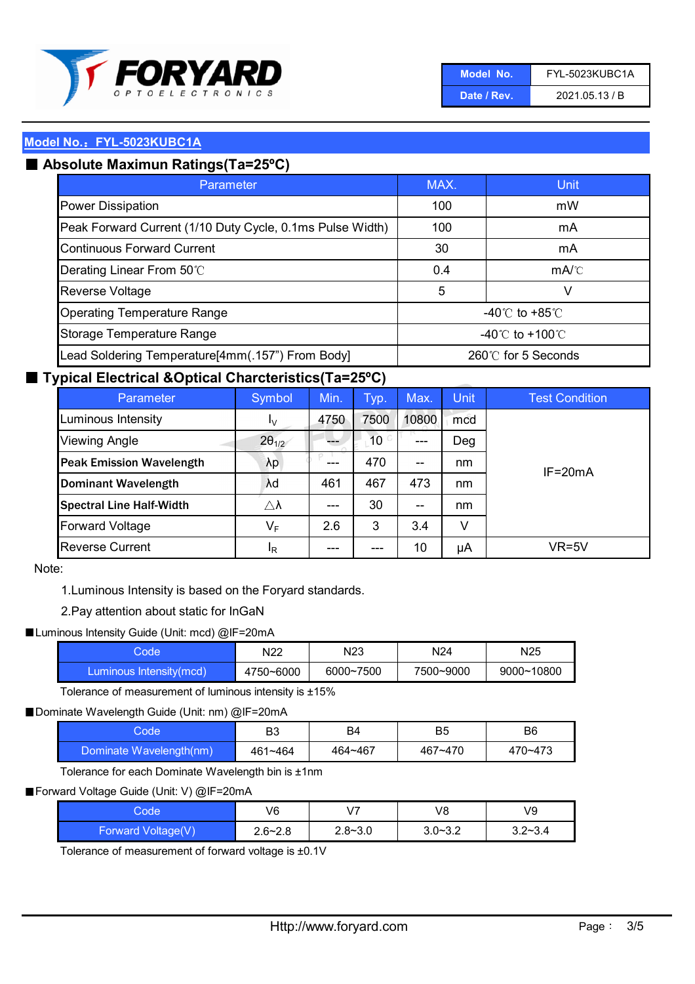

| 'Model No.  | FYL-5023KUBC1A |
|-------------|----------------|
| Date / Rev. | 2021.05.13 / B |

#### Model No.: FYL-5023KUBC1A

## ■ Absolute Maximun Ratings(Ta=25°C)

| Parameter                                                 | MAX.               | Unit                                 |  |
|-----------------------------------------------------------|--------------------|--------------------------------------|--|
| <b>Power Dissipation</b>                                  | 100                | mW                                   |  |
| Peak Forward Current (1/10 Duty Cycle, 0.1ms Pulse Width) | 100                | mA                                   |  |
| <b>Continuous Forward Current</b>                         | 30                 | mA                                   |  |
| Derating Linear From 50°C                                 | 0.4                | $mA$ <sup><math>\circ</math></sup> C |  |
| Reverse Voltage                                           | 5                  | V                                    |  |
| <b>Operating Temperature Range</b>                        |                    | -40 $\degree$ to +85 $\degree$ C     |  |
| Storage Temperature Range                                 | -40°C to +100°C    |                                      |  |
| Lead Soldering Temperature[4mm(.157") From Body]          | 260℃ for 5 Seconds |                                      |  |

#### ■ Typical Electrical &Optical Charcteristics(Ta=25°C)

| Parameter                       | Symbol                  | Min. | Typ.            | Max.  | <b>Unit</b> | <b>Test Condition</b> |
|---------------------------------|-------------------------|------|-----------------|-------|-------------|-----------------------|
| Luminous Intensity              | Ιv                      | 4750 | 7500            | 10800 | mcd         |                       |
| <b>Viewing Angle</b>            | $2\theta_{1/2}$         |      | 10 <sup>°</sup> | ---   | Deg         |                       |
| <b>Peak Emission Wavelength</b> | $\lambda p$             | ---  | 470             | $- -$ | nm          | $IF = 20mA$           |
| <b>Dominant Wavelength</b>      | λd                      | 461  | 467             | 473   | nm          |                       |
| <b>Spectral Line Half-Width</b> | $\triangle \lambda$     | ---  | 30              | $- -$ | nm          |                       |
| <b>Forward Voltage</b>          | $\mathsf{V}_\mathsf{F}$ | 2.6  | 3               | 3.4   | v           |                       |
| <b>Reverse Current</b>          | <sup>I</sup> R          |      | ---             | 10    | μA          | VR=5V                 |

Note:

1.Luminous Intensity is based on the Foryard standards.

2.Pay attention about static for InGaN

■Luminous Intensity Guide (Unit: mcd) @IF=20mA

| tode                     | N22       | N23       | N <sub>24</sub> | N <sub>25</sub> |
|--------------------------|-----------|-----------|-----------------|-----------------|
| 'Luminous Intensity(mcd) | 4750~6000 | 6000~7500 | 7500~9000       | 9000~10800      |

Tolerance of measurement of luminous intensity is ±15%

■Dominate Wavelength Guide (Unit: nm) @IF=20mA

| Code                    | B3          | B4      | B5      | B6      |
|-------------------------|-------------|---------|---------|---------|
| Dominate Wavelength(nm) | $461 - 464$ | 464~467 | 467~470 | 470~473 |

Tolerance for each Dominate Wavelength bin is ±1nm

■ Forward Voltage Guide (Unit: V) @IF=20mA

| Codel              | V6          | V <sub>7</sub> | V8          | V9          |
|--------------------|-------------|----------------|-------------|-------------|
| Forward Voltage(V) | $2.6 - 2.8$ | $2.8 - 3.0$    | $3.0 - 3.2$ | $3.2 - 3.4$ |

Tolerance of measurement of forward voltage is ±0.1V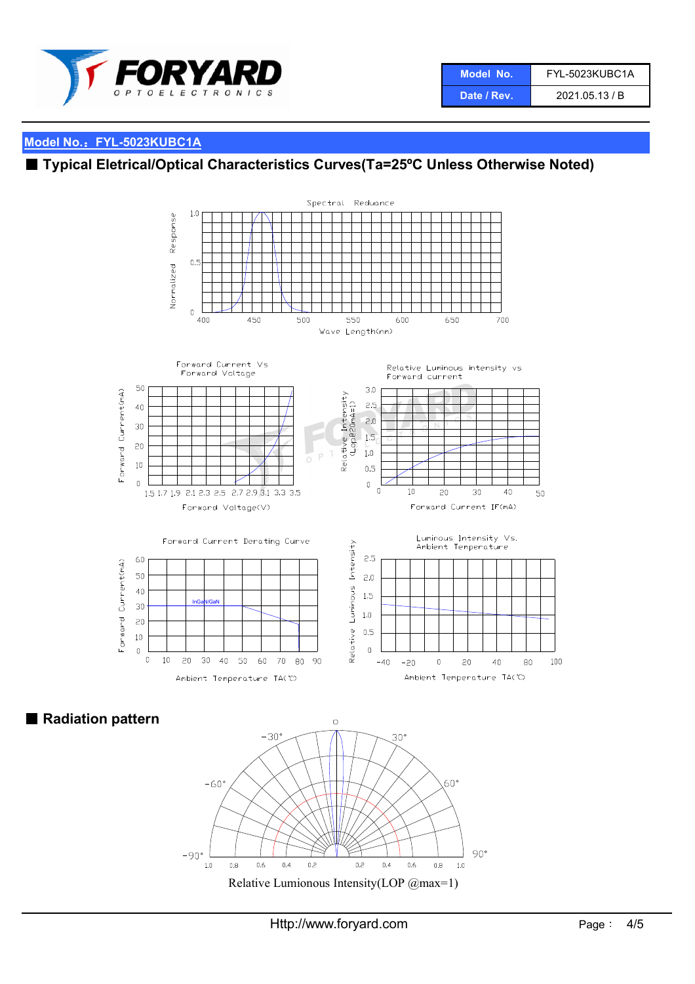

## Model No.: FYL-5023KUBC1A

## ■ Typical Eletrical/Optical Characteristics Curves(Ta=25°C Unless Otherwise Noted)



■ Radiation pattern